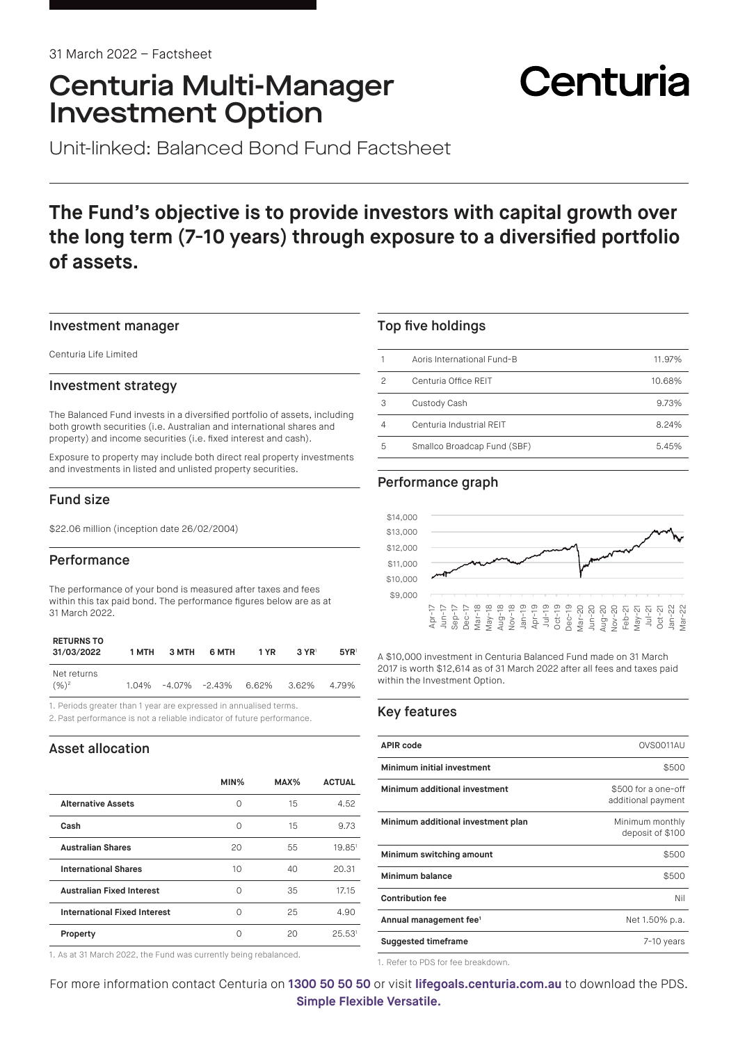## Centuria Multi-Manager Investment Option

# Centuria

Unit-linked: Balanced Bond Fund Factsheet

## **The Fund's objective is to provide investors with capital growth over the long term (7-10 years) through exposure to a diversified portfolio of assets.**

#### Investment manager

Centuria Life Limited

#### Investment strategy

The Balanced Fund invests in a diversified portfolio of assets, including both growth securities (i.e. Australian and international shares and property) and income securities (i.e. fixed interest and cash).

Exposure to property may include both direct real property investments and investments in listed and unlisted property securities.

#### Fund size

\$22.06 million (inception date 26/02/2004)

#### Performance

The performance of your bond is measured after taxes and fees within this tax paid bond. The performance figures below are as at 31 March 2022.

| <b>RETURNS TO</b><br>31/03/2022 | 1 MTH | 3 MTH | 6 MTH                           | 1 YR | $3 \text{ YR}$ | $5YR$ <sup>1</sup> |
|---------------------------------|-------|-------|---------------------------------|------|----------------|--------------------|
| Net returns<br>$(9/6)^2$        |       |       | 1.04% -4.07% -2.43% 6.62% 3.62% |      |                | 4.79%              |

1. Periods greater than 1 year are expressed in annualised terms.

2. Past performance is not a reliable indicator of future performance.

#### Asset allocation

|                                     | MIN% | MAX% | <b>ACTUAL</b>      |
|-------------------------------------|------|------|--------------------|
| <b>Alternative Assets</b>           | O    | 15   | 4.52               |
| Cash                                | Ω    | 15   | 9.73               |
| <b>Australian Shares</b>            | 20   | 55   | 19.85 <sup>1</sup> |
| <b>International Shares</b>         | 10   | 40   | 20.31              |
| <b>Australian Fixed Interest</b>    | O    | 35   | 1715               |
| <b>International Fixed Interest</b> | ∩    | 25   | 4.90               |
| Property                            | ∩    | 20   | 25.53 <sup>1</sup> |
|                                     |      |      |                    |

1. As at 31 March 2022, the Fund was currently being rebalanced.

#### Top five holdings

|   | Aoris International Fund-B  | 11.97% |
|---|-----------------------------|--------|
| 2 | Centuria Office REIT        | 10.68% |
| 3 | Custody Cash                | 9.73%  |
| 4 | Centuria Industrial REIT    | 8.24%  |
| 5 | Smallco Broadcap Fund (SBF) | 5.45%  |

#### Performance graph



A \$10,000 investment in Centuria Balanced Fund made on 31 March 2017 is worth \$12,614 as of 31 March 2022 after all fees and taxes paid within the Investment Option.

#### Key features

| <b>APIR code</b>                   | OVS0011AU                                 |
|------------------------------------|-------------------------------------------|
| Minimum initial investment         | \$500                                     |
| Minimum additional investment      | \$500 for a one-off<br>additional payment |
| Minimum additional investment plan | Minimum monthly<br>deposit of \$100       |
| Minimum switching amount           | \$500                                     |
| Minimum balance                    | \$500                                     |
| <b>Contribution fee</b>            | Nil                                       |
| Annual management fee <sup>1</sup> | Net 1.50% p.a.                            |
| <b>Suggested timeframe</b>         | 7-10 years                                |

1. Refer to PDS for fee breakdown.

For more information contact Centuria on **1300 50 50 50** or visit **[lifegoals.centuria.com.au](https://lifegoals.centuria.com.au)** to download the PDS. **Simple Flexible Versatile.**